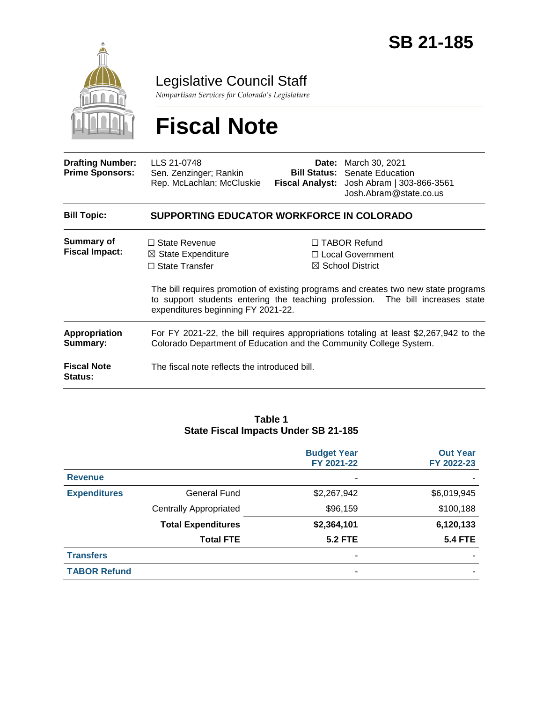

Legislative Council Staff

*Nonpartisan Services for Colorado's Legislature*

# **Fiscal Note**

| <b>Drafting Number:</b><br><b>Prime Sponsors:</b> | LLS 21-0748<br>Sen. Zenzinger; Rankin<br>Rep. McLachlan; McCluskie                                                                                          |  | <b>Date:</b> March 30, 2021<br><b>Bill Status:</b> Senate Education<br><b>Fiscal Analyst:</b> Josh Abram   303-866-3561<br>Josh.Abram@state.co.us                                                                                                 |  |  |
|---------------------------------------------------|-------------------------------------------------------------------------------------------------------------------------------------------------------------|--|---------------------------------------------------------------------------------------------------------------------------------------------------------------------------------------------------------------------------------------------------|--|--|
| <b>Bill Topic:</b>                                | <b>SUPPORTING EDUCATOR WORKFORCE IN COLORADO</b>                                                                                                            |  |                                                                                                                                                                                                                                                   |  |  |
| <b>Summary of</b><br><b>Fiscal Impact:</b>        | $\Box$ State Revenue<br>$\boxtimes$ State Expenditure<br>$\Box$ State Transfer<br>expenditures beginning FY 2021-22.                                        |  | $\Box$ TABOR Refund<br>□ Local Government<br>$\boxtimes$ School District<br>The bill requires promotion of existing programs and creates two new state programs<br>to support students entering the teaching profession. The bill increases state |  |  |
| <b>Appropriation</b><br>Summary:                  | For FY 2021-22, the bill requires appropriations totaling at least \$2,267,942 to the<br>Colorado Department of Education and the Community College System. |  |                                                                                                                                                                                                                                                   |  |  |
| <b>Fiscal Note</b><br><b>Status:</b>              | The fiscal note reflects the introduced bill.                                                                                                               |  |                                                                                                                                                                                                                                                   |  |  |

#### **Table 1 State Fiscal Impacts Under SB 21-185**

|                     |                               | <b>Budget Year</b><br>FY 2021-22 | <b>Out Year</b><br>FY 2022-23 |
|---------------------|-------------------------------|----------------------------------|-------------------------------|
| <b>Revenue</b>      |                               | ۰                                |                               |
| <b>Expenditures</b> | <b>General Fund</b>           | \$6,019,945<br>\$2,267,942       |                               |
|                     | <b>Centrally Appropriated</b> | \$96,159                         | \$100,188                     |
|                     | <b>Total Expenditures</b>     | \$2,364,101                      | 6,120,133                     |
|                     | <b>Total FTE</b>              | <b>5.2 FTE</b>                   | <b>5.4 FTE</b>                |
| <b>Transfers</b>    |                               | ۰                                |                               |
| <b>TABOR Refund</b> |                               | -                                |                               |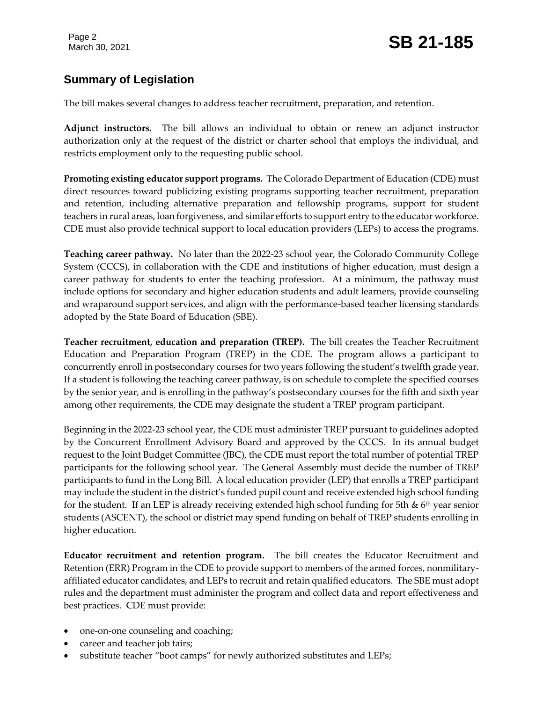# **Summary of Legislation**

The bill makes several changes to address teacher recruitment, preparation, and retention.

**Adjunct instructors.** The bill allows an individual to obtain or renew an adjunct instructor authorization only at the request of the district or charter school that employs the individual, and restricts employment only to the requesting public school.

**Promoting existing educator support programs.** The Colorado Department of Education (CDE) must direct resources toward publicizing existing programs supporting teacher recruitment, preparation and retention, including alternative preparation and fellowship programs, support for student teachers in rural areas, loan forgiveness, and similar efforts to support entry to the educator workforce. CDE must also provide technical support to local education providers (LEPs) to access the programs.

**Teaching career pathway.** No later than the 2022-23 school year, the Colorado Community College System (CCCS), in collaboration with the CDE and institutions of higher education, must design a career pathway for students to enter the teaching profession. At a minimum, the pathway must include options for secondary and higher education students and adult learners, provide counseling and wraparound support services, and align with the performance-based teacher licensing standards adopted by the State Board of Education (SBE).

**Teacher recruitment, education and preparation (TREP).** The bill creates the Teacher Recruitment Education and Preparation Program (TREP) in the CDE. The program allows a participant to concurrently enroll in postsecondary courses for two years following the student's twelfth grade year. If a student is following the teaching career pathway, is on schedule to complete the specified courses by the senior year, and is enrolling in the pathway's postsecondary courses for the fifth and sixth year among other requirements, the CDE may designate the student a TREP program participant.

Beginning in the 2022-23 school year, the CDE must administer TREP pursuant to guidelines adopted by the Concurrent Enrollment Advisory Board and approved by the CCCS. In its annual budget request to the Joint Budget Committee (JBC), the CDE must report the total number of potential TREP participants for the following school year. The General Assembly must decide the number of TREP participants to fund in the Long Bill. A local education provider (LEP) that enrolls a TREP participant may include the student in the district's funded pupil count and receive extended high school funding for the student. If an LEP is already receiving extended high school funding for 5th  $\&$  6<sup>th</sup> year senior students (ASCENT), the school or district may spend funding on behalf of TREP students enrolling in higher education.

**Educator recruitment and retention program.** The bill creates the Educator Recruitment and Retention (ERR) Program in the CDE to provide support to members of the armed forces, nonmilitaryaffiliated educator candidates, and LEPs to recruit and retain qualified educators. The SBE must adopt rules and the department must administer the program and collect data and report effectiveness and best practices. CDE must provide:

- one-on-one counseling and coaching;
- career and teacher job fairs;
- substitute teacher "boot camps" for newly authorized substitutes and LEPs;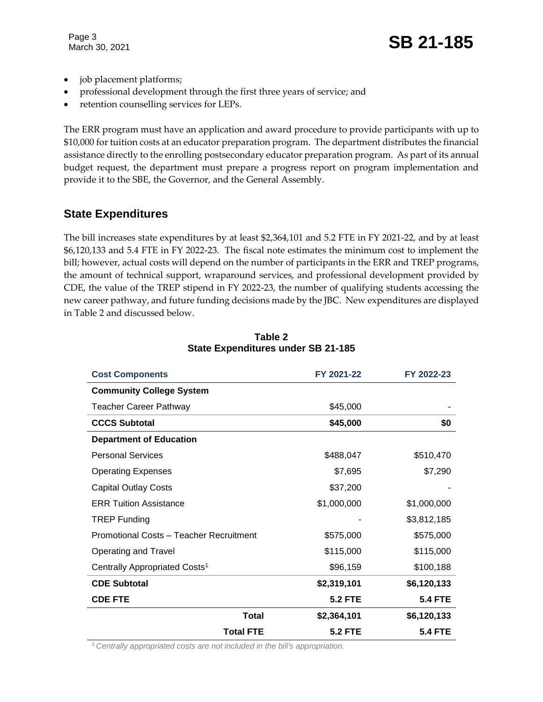Page 3

# March 30, 2021 **SB 21-185**

- job placement platforms;
- professional development through the first three years of service; and
- retention counselling services for LEPs.

The ERR program must have an application and award procedure to provide participants with up to \$10,000 for tuition costs at an educator preparation program. The department distributes the financial assistance directly to the enrolling postsecondary educator preparation program. As part of its annual budget request, the department must prepare a progress report on program implementation and provide it to the SBE, the Governor, and the General Assembly.

#### **State Expenditures**

The bill increases state expenditures by at least \$2,364,101 and 5.2 FTE in FY 2021-22, and by at least \$6,120,133 and 5.4 FTE in FY 2022-23. The fiscal note estimates the minimum cost to implement the bill; however, actual costs will depend on the number of participants in the ERR and TREP programs, the amount of technical support, wraparound services, and professional development provided by CDE, the value of the TREP stipend in FY 2022-23, the number of qualifying students accessing the new career pathway, and future funding decisions made by the JBC. New expenditures are displayed in Table 2 and discussed below.

| <b>Cost Components</b>                    | FY 2021-22     | FY 2022-23     |  |  |
|-------------------------------------------|----------------|----------------|--|--|
| <b>Community College System</b>           |                |                |  |  |
| <b>Teacher Career Pathway</b>             | \$45,000       |                |  |  |
| <b>CCCS Subtotal</b>                      | \$45,000       | \$0            |  |  |
| <b>Department of Education</b>            |                |                |  |  |
| <b>Personal Services</b>                  | \$488,047      | \$510,470      |  |  |
| <b>Operating Expenses</b>                 | \$7,695        | \$7,290        |  |  |
| <b>Capital Outlay Costs</b>               | \$37,200       |                |  |  |
| <b>ERR Tuition Assistance</b>             | \$1,000,000    | \$1,000,000    |  |  |
| <b>TREP Funding</b>                       |                | \$3,812,185    |  |  |
| Promotional Costs - Teacher Recruitment   | \$575,000      | \$575,000      |  |  |
| <b>Operating and Travel</b>               | \$115,000      | \$115,000      |  |  |
| Centrally Appropriated Costs <sup>1</sup> | \$96,159       | \$100,188      |  |  |
| <b>CDE Subtotal</b>                       | \$2,319,101    | \$6,120,133    |  |  |
| <b>CDE FTE</b>                            | <b>5.2 FTE</b> | <b>5.4 FTE</b> |  |  |
| <b>Total</b>                              | \$2,364,101    | \$6,120,133    |  |  |
| <b>Total FTE</b>                          | <b>5.2 FTE</b> | <b>5.4 FTE</b> |  |  |

#### **Table 2 State Expenditures under SB 21-185**

*1 Centrally appropriated costs are not included in the bill's appropriation.*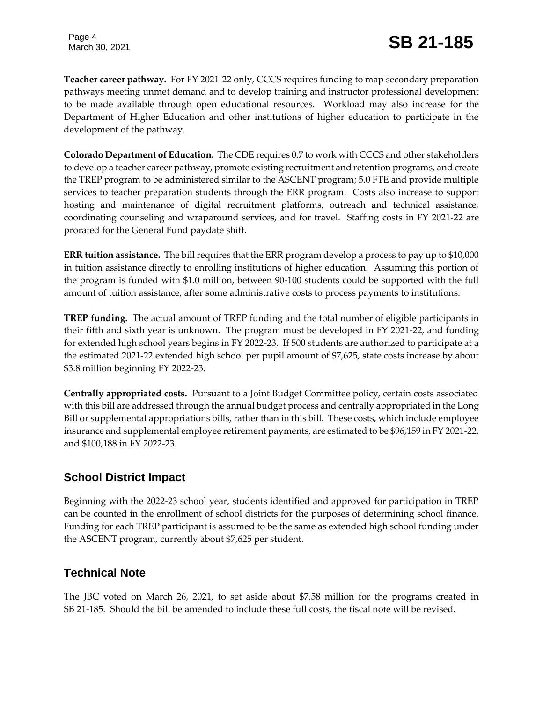Page 4

**Teacher career pathway.** For FY 2021-22 only, CCCS requires funding to map secondary preparation pathways meeting unmet demand and to develop training and instructor professional development to be made available through open educational resources. Workload may also increase for the Department of Higher Education and other institutions of higher education to participate in the development of the pathway.

**Colorado Department of Education.** The CDE requires 0.7 to work with CCCS and other stakeholders to develop a teacher career pathway, promote existing recruitment and retention programs, and create the TREP program to be administered similar to the ASCENT program; 5.0 FTE and provide multiple services to teacher preparation students through the ERR program. Costs also increase to support hosting and maintenance of digital recruitment platforms, outreach and technical assistance, coordinating counseling and wraparound services, and for travel. Staffing costs in FY 2021-22 are prorated for the General Fund paydate shift.

**ERR tuition assistance.** The bill requires that the ERR program develop a process to pay up to \$10,000 in tuition assistance directly to enrolling institutions of higher education. Assuming this portion of the program is funded with \$1.0 million, between 90-100 students could be supported with the full amount of tuition assistance, after some administrative costs to process payments to institutions.

**TREP funding.** The actual amount of TREP funding and the total number of eligible participants in their fifth and sixth year is unknown. The program must be developed in FY 2021-22, and funding for extended high school years begins in FY 2022-23. If 500 students are authorized to participate at a the estimated 2021-22 extended high school per pupil amount of \$7,625, state costs increase by about \$3.8 million beginning FY 2022-23.

**Centrally appropriated costs.** Pursuant to a Joint Budget Committee policy, certain costs associated with this bill are addressed through the annual budget process and centrally appropriated in the Long Bill or supplemental appropriations bills, rather than in this bill. These costs, which include employee insurance and supplemental employee retirement payments, are estimated to be \$96,159 in FY 2021-22, and \$100,188 in FY 2022-23.

## **School District Impact**

Beginning with the 2022-23 school year, students identified and approved for participation in TREP can be counted in the enrollment of school districts for the purposes of determining school finance. Funding for each TREP participant is assumed to be the same as extended high school funding under the ASCENT program, currently about \$7,625 per student.

## **Technical Note**

The JBC voted on March 26, 2021, to set aside about \$7.58 million for the programs created in SB 21-185. Should the bill be amended to include these full costs, the fiscal note will be revised.